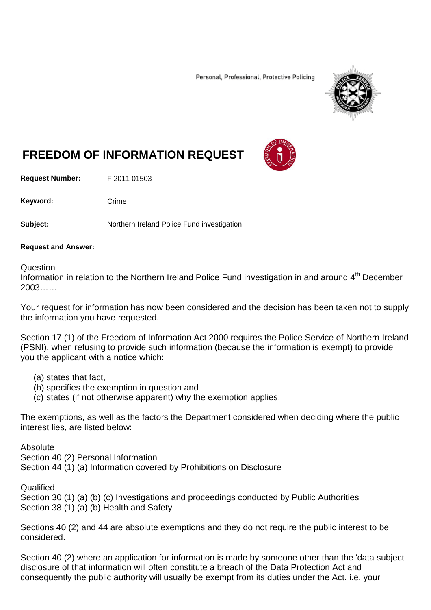Personal, Professional, Protective Policing



# **FREEDOM OF INFORMATION REQUEST**

**Request Number:** F 2011 01503

Keyword: Crime

**Subject:** Northern Ireland Police Fund investigation

#### **Request and Answer:**

#### Question

Information in relation to the Northern Ireland Police Fund investigation in and around 4<sup>th</sup> December 2003……

Your request for information has now been considered and the decision has been taken not to supply the information you have requested.

Section 17 (1) of the Freedom of Information Act 2000 requires the Police Service of Northern Ireland (PSNI), when refusing to provide such information (because the information is exempt) to provide you the applicant with a notice which:

- (a) states that fact,
- (b) specifies the exemption in question and
- (c) states (if not otherwise apparent) why the exemption applies.

The exemptions, as well as the factors the Department considered when deciding where the public interest lies, are listed below:

Absolute

Section 40 (2) Personal Information

Section 44 (1) (a) Information covered by Prohibitions on Disclosure

**Qualified** 

Section 30 (1) (a) (b) (c) Investigations and proceedings conducted by Public Authorities Section 38 (1) (a) (b) Health and Safety

Sections 40 (2) and 44 are absolute exemptions and they do not require the public interest to be considered.

Section 40 (2) where an application for information is made by someone other than the 'data subject' disclosure of that information will often constitute a breach of the Data Protection Act and consequently the public authority will usually be exempt from its duties under the Act. i.e. your

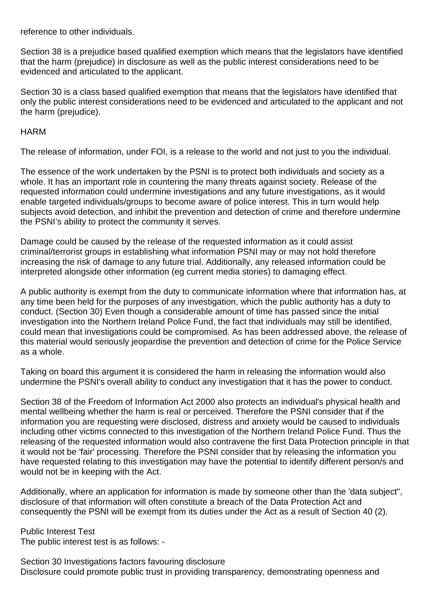reference to other individuals.

Section 38 is a prejudice based qualified exemption which means that the legislators have identified that the harm (prejudice) in disclosure as well as the public interest considerations need to be evidenced and articulated to the applicant.

Section 30 is a class based qualified exemption that means that the legislators have identified that only the public interest considerations need to be evidenced and articulated to the applicant and not the harm (prejudice).

#### **HARM**

The release of information, under FOI, is a release to the world and not just to you the individual.

The essence of the work undertaken by the PSNI is to protect both individuals and society as a whole. It has an important role in countering the many threats against society. Release of the requested information could undermine investigations and any future investigations, as it would enable targeted individuals/groups to become aware of police interest. This in turn would help subjects avoid detection, and inhibit the prevention and detection of crime and therefore undermine the PSNI's ability to protect the community it serves.

Damage could be caused by the release of the requested information as it could assist criminal/terrorist groups in establishing what information PSNI may or may not hold therefore increasing the risk of damage to any future trial. Additionally, any released information could be interpreted alongside other information (eg current media stories) to damaging effect.

A public authority is exempt from the duty to communicate information where that information has, at any time been held for the purposes of any investigation, which the public authority has a duty to conduct. (Section 30) Even though a considerable amount of time has passed since the initial investigation into the Northern Ireland Police Fund, the fact that individuals may still be identified, could mean that investigations could be compromised. As has been addressed above, the release of this material would seriously jeopardise the prevention and detection of crime for the Police Service as a whole.

Taking on board this argument it is considered the harm in releasing the information would also undermine the PSNI's overall ability to conduct any investigation that it has the power to conduct.

Section 38 of the Freedom of Information Act 2000 also protects an individual's physical health and mental wellbeing whether the harm is real or perceived. Therefore the PSNI consider that if the information you are requesting were disclosed, distress and anxiety would be caused to individuals including other victims connected to this investigation of the Northern Ireland Police Fund. Thus the releasing of the requested information would also contravene the first Data Protection principle in that it would not be 'fair' processing. Therefore the PSNI consider that by releasing the information you have requested relating to this investigation may have the potential to identify different person/s and would not be in keeping with the Act.

Additionally, where an application for information is made by someone other than the 'data subject", disclosure of that information will often constitute a breach of the Data Protection Act and consequently the PSNI will be exempt from its duties under the Act as a result of Section 40 (2).

Public Interest Test The public interest test is as follows: -

Section 30 Investigations factors favouring disclosure Disclosure could promote public trust in providing transparency, demonstrating openness and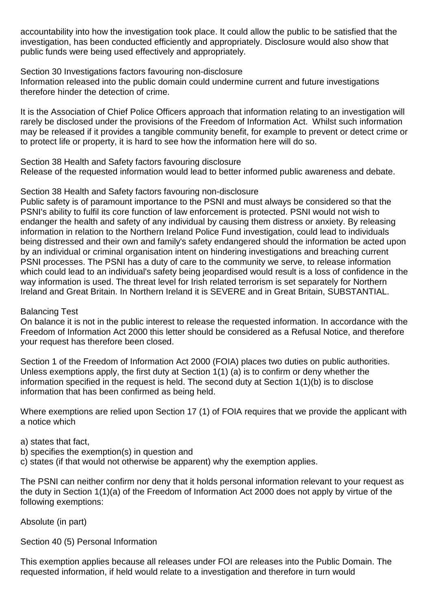accountability into how the investigation took place. It could allow the public to be satisfied that the investigation, has been conducted efficiently and appropriately. Disclosure would also show that public funds were being used effectively and appropriately.

Section 30 Investigations factors favouring non-disclosure

Information released into the public domain could undermine current and future investigations therefore hinder the detection of crime.

It is the Association of Chief Police Officers approach that information relating to an investigation will rarely be disclosed under the provisions of the Freedom of Information Act. Whilst such information may be released if it provides a tangible community benefit, for example to prevent or detect crime or to protect life or property, it is hard to see how the information here will do so.

Section 38 Health and Safety factors favouring disclosure

Release of the requested information would lead to better informed public awareness and debate.

Section 38 Health and Safety factors favouring non-disclosure

Public safety is of paramount importance to the PSNI and must always be considered so that the PSNI's ability to fulfil its core function of law enforcement is protected. PSNI would not wish to endanger the health and safety of any individual by causing them distress or anxiety. By releasing information in relation to the Northern Ireland Police Fund investigation, could lead to individuals being distressed and their own and family's safety endangered should the information be acted upon by an individual or criminal organisation intent on hindering investigations and breaching current PSNI processes. The PSNI has a duty of care to the community we serve, to release information which could lead to an individual's safety being jeopardised would result is a loss of confidence in the way information is used. The threat level for Irish related terrorism is set separately for Northern Ireland and Great Britain. In Northern Ireland it is SEVERE and in Great Britain, SUBSTANTIAL.

## Balancing Test

On balance it is not in the public interest to release the requested information. In accordance with the Freedom of Information Act 2000 this letter should be considered as a Refusal Notice, and therefore your request has therefore been closed.

Section 1 of the Freedom of Information Act 2000 (FOIA) places two duties on public authorities. Unless exemptions apply, the first duty at Section 1(1) (a) is to confirm or deny whether the information specified in the request is held. The second duty at Section 1(1)(b) is to disclose information that has been confirmed as being held.

Where exemptions are relied upon Section 17 (1) of FOIA requires that we provide the applicant with a notice which

- a) states that fact,
- b) specifies the exemption(s) in question and
- c) states (if that would not otherwise be apparent) why the exemption applies.

The PSNI can neither confirm nor deny that it holds personal information relevant to your request as the duty in Section 1(1)(a) of the Freedom of Information Act 2000 does not apply by virtue of the following exemptions:

Absolute (in part)

Section 40 (5) Personal Information

This exemption applies because all releases under FOI are releases into the Public Domain. The requested information, if held would relate to a investigation and therefore in turn would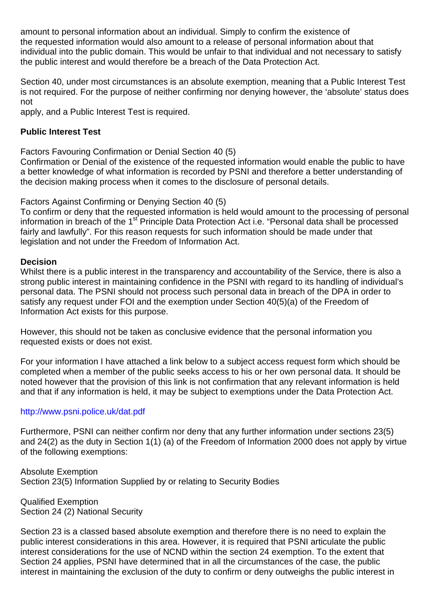amount to personal information about an individual. Simply to confirm the existence of the requested information would also amount to a release of personal information about that individual into the public domain. This would be unfair to that individual and not necessary to satisfy the public interest and would therefore be a breach of the Data Protection Act.

Section 40, under most circumstances is an absolute exemption, meaning that a Public Interest Test is not required. For the purpose of neither confirming nor denying however, the 'absolute' status does not

apply, and a Public Interest Test is required.

## **Public Interest Test**

Factors Favouring Confirmation or Denial Section 40 (5)

Confirmation or Denial of the existence of the requested information would enable the public to have a better knowledge of what information is recorded by PSNI and therefore a better understanding of the decision making process when it comes to the disclosure of personal details.

#### Factors Against Confirming or Denying Section 40 (5)

To confirm or deny that the requested information is held would amount to the processing of personal information in breach of the 1<sup>st</sup> Principle Data Protection Act i.e. "Personal data shall be processed fairly and lawfully". For this reason requests for such information should be made under that legislation and not under the Freedom of Information Act.

## **Decision**

Whilst there is a public interest in the transparency and accountability of the Service, there is also a strong public interest in maintaining confidence in the PSNI with regard to its handling of individual's personal data. The PSNI should not process such personal data in breach of the DPA in order to satisfy any request under FOI and the exemption under Section 40(5)(a) of the Freedom of Information Act exists for this purpose.

However, this should not be taken as conclusive evidence that the personal information you requested exists or does not exist.

For your information I have attached a link below to a subject access request form which should be completed when a member of the public seeks access to his or her own personal data. It should be noted however that the provision of this link is not confirmation that any relevant information is held and that if any information is held, it may be subject to exemptions under the Data Protection Act.

## http://www.psni.police.uk/dat.pdf

Furthermore, PSNI can neither confirm nor deny that any further information under sections 23(5) and 24(2) as the duty in Section 1(1) (a) of the Freedom of Information 2000 does not apply by virtue of the following exemptions:

Absolute Exemption Section 23(5) Information Supplied by or relating to Security Bodies

Qualified Exemption Section 24 (2) National Security

Section 23 is a classed based absolute exemption and therefore there is no need to explain the public interest considerations in this area. However, it is required that PSNI articulate the public interest considerations for the use of NCND within the section 24 exemption. To the extent that Section 24 applies, PSNI have determined that in all the circumstances of the case, the public interest in maintaining the exclusion of the duty to confirm or deny outweighs the public interest in